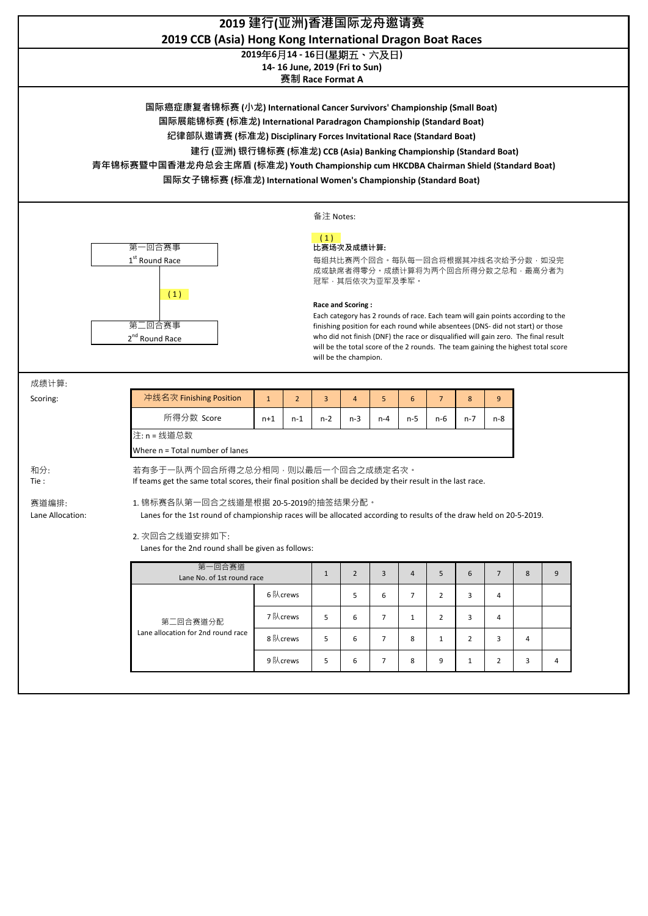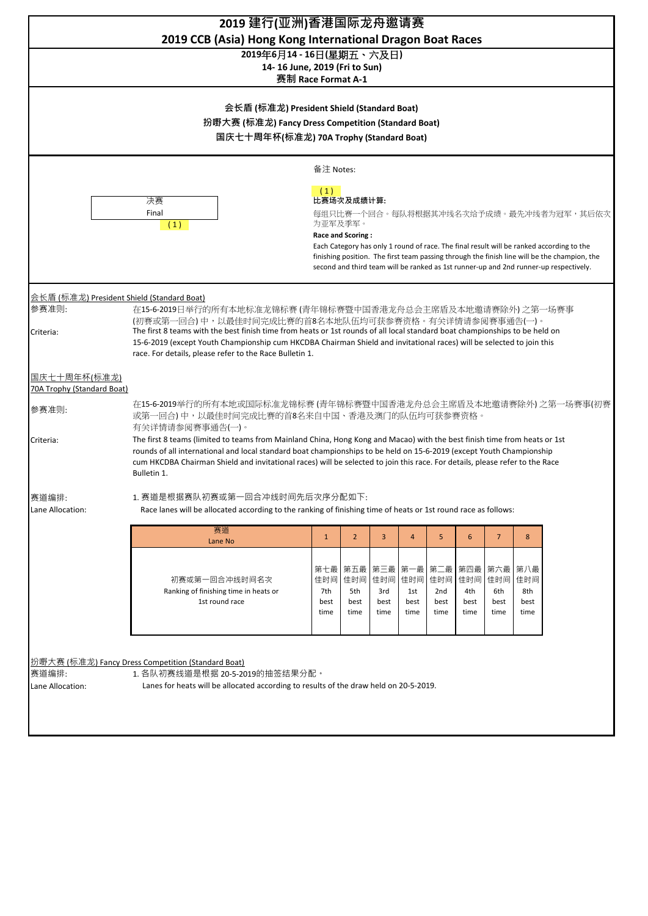| 2019 建行(亚洲)香港国际龙舟邀请赛<br>2019 CCB (Asia) Hong Kong International Dragon Boat Races                                                                                                                                                                                                                                                                                                                                                                                                                        |                                                                                                                                                                                                                                                                                                                                                                                                                     |                                   |                                   |                                         |                            |                                   |                                  |                                |                                   |  |           |
|----------------------------------------------------------------------------------------------------------------------------------------------------------------------------------------------------------------------------------------------------------------------------------------------------------------------------------------------------------------------------------------------------------------------------------------------------------------------------------------------------------|---------------------------------------------------------------------------------------------------------------------------------------------------------------------------------------------------------------------------------------------------------------------------------------------------------------------------------------------------------------------------------------------------------------------|-----------------------------------|-----------------------------------|-----------------------------------------|----------------------------|-----------------------------------|----------------------------------|--------------------------------|-----------------------------------|--|-----------|
| 2019年6月14 - 16日(星期五、六及日)<br>14-16 June, 2019 (Fri to Sun)<br>赛制 Race Format A-1<br>会长盾 (标准龙) President Shield (Standard Boat)<br>扮嘢大赛 (标准龙) Fancy Dress Competition (Standard Boat)<br>国庆七十周年杯(标准龙) 70A Trophy (Standard Boat)                                                                                                                                                                                                                                                                           |                                                                                                                                                                                                                                                                                                                                                                                                                     |                                   |                                   |                                         |                            |                                   |                                  |                                |                                   |  |           |
|                                                                                                                                                                                                                                                                                                                                                                                                                                                                                                          |                                                                                                                                                                                                                                                                                                                                                                                                                     |                                   |                                   |                                         |                            |                                   |                                  |                                |                                   |  | 备注 Notes: |
|                                                                                                                                                                                                                                                                                                                                                                                                                                                                                                          | (1)<br>比赛场次及成绩计算:<br>决赛<br>Final<br>每组只比赛一个回合。每队将根据其冲线名次给予成绩。最先冲线者为冠军,其后依次<br>为亚军及季军。<br>(1)<br><b>Race and Scoring:</b><br>Each Category has only 1 round of race. The final result will be ranked according to the<br>finishing position. The first team passing through the finish line will be the champion, the<br>second and third team will be ranked as 1st runner-up and 2nd runner-up respectively.       |                                   |                                   |                                         |                            |                                   |                                  |                                |                                   |  |           |
| 会长盾(标准龙) President Shield (Standard Boat)<br>参赛准则:<br>在15-6-2019日举行的所有本地标准龙锦标赛 (青年锦标赛暨中国香港龙舟总会主席盾及本地邀请赛除外) 之第一场赛事<br>(初赛或第一回合)中,以最佳时间完成比赛的首8名本地队伍均可获参赛资格。有关详情请参阅赛事通告(一)。<br>The first 8 teams with the best finish time from heats or 1st rounds of all local standard boat championships to be held on<br>Criteria:<br>15-6-2019 (except Youth Championship cum HKCDBA Chairman Shield and invitational races) will be selected to join this<br>race. For details, please refer to the Race Bulletin 1. |                                                                                                                                                                                                                                                                                                                                                                                                                     |                                   |                                   |                                         |                            |                                   |                                  |                                |                                   |  |           |
| 国庆七十周年杯(标准龙)                                                                                                                                                                                                                                                                                                                                                                                                                                                                                             |                                                                                                                                                                                                                                                                                                                                                                                                                     |                                   |                                   |                                         |                            |                                   |                                  |                                |                                   |  |           |
| <b>70A Trophy (Standard Boat)</b><br>参赛准则:                                                                                                                                                                                                                                                                                                                                                                                                                                                               | 在15-6-2019举行的所有本地或国际标准龙锦标赛 (青年锦标赛暨中国香港龙舟总会主席盾及本地邀请赛除外) 之第一场赛事(初赛<br>或第一回合)中,以最佳时间完成比赛的首8名来自中国、香港及澳门的队伍均可获参赛资格。                                                                                                                                                                                                                                                                                                      |                                   |                                   |                                         |                            |                                   |                                  |                                |                                   |  |           |
| Criteria:                                                                                                                                                                                                                                                                                                                                                                                                                                                                                                | 有关详情请参阅赛事通告(一)。<br>The first 8 teams (limited to teams from Mainland China, Hong Kong and Macao) with the best finish time from heats or 1st<br>rounds of all international and local standard boat championships to be held on 15-6-2019 (except Youth Championship<br>cum HKCDBA Chairman Shield and invitational races) will be selected to join this race. For details, please refer to the Race<br>Bulletin 1. |                                   |                                   |                                         |                            |                                   |                                  |                                |                                   |  |           |
| 赛道编排<br>Lane Allocation:                                                                                                                                                                                                                                                                                                                                                                                                                                                                                 | 1. 赛道是根据赛队初赛或第一回合冲线时间先后次序分配如下:<br>Race lanes will be allocated according to the ranking of finishing time of heats or 1st round race as follows:<br>赛道                                                                                                                                                                                                                                                              |                                   |                                   |                                         |                            |                                   |                                  |                                |                                   |  |           |
|                                                                                                                                                                                                                                                                                                                                                                                                                                                                                                          | Lane No                                                                                                                                                                                                                                                                                                                                                                                                             | $\mathbf{1}$                      | $\overline{2}$                    | 3                                       | 4                          | 5                                 | 6                                | $\overline{7}$                 | 8                                 |  |           |
|                                                                                                                                                                                                                                                                                                                                                                                                                                                                                                          | 初赛或第一回合冲线时间名次<br>Ranking of finishing time in heats or<br>1st round race                                                                                                                                                                                                                                                                                                                                            | 第七最<br>佳时间<br>7th<br>best<br>time | 第五最<br>佳时间<br>5th<br>best<br>time | 第三最   第一最<br>佳时间<br>3rd<br>best<br>time | 佳时间<br>1st<br>best<br>time | 第二最<br>佳时间<br>2nd<br>best<br>time | 第四最   第六最<br>4th<br>best<br>time | 佳时间 佳时间<br>6th<br>best<br>time | 第八最<br>佳时间<br>8th<br>best<br>time |  |           |
| 赛道编排:                                                                                                                                                                                                                                                                                                                                                                                                                                                                                                    | 扮嘢大赛 (标准龙) Fancy Dress Competition (Standard Boat)<br>1. 各队初赛线道是根据 20-5-2019的抽签结果分配。                                                                                                                                                                                                                                                                                                                                |                                   |                                   |                                         |                            |                                   |                                  |                                |                                   |  |           |
| Lane Allocation:                                                                                                                                                                                                                                                                                                                                                                                                                                                                                         | Lanes for heats will be allocated according to results of the draw held on 20-5-2019.                                                                                                                                                                                                                                                                                                                               |                                   |                                   |                                         |                            |                                   |                                  |                                |                                   |  |           |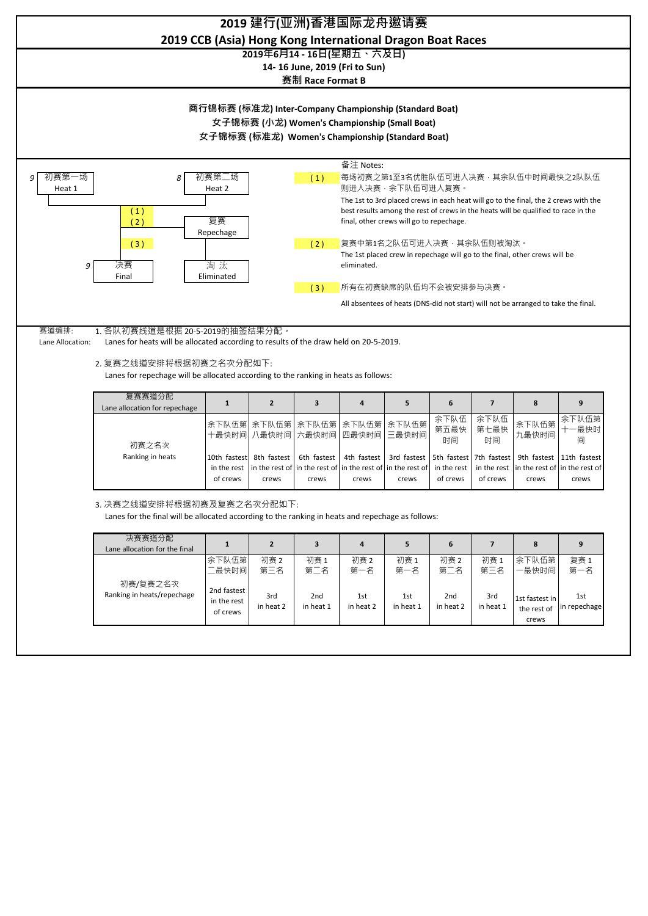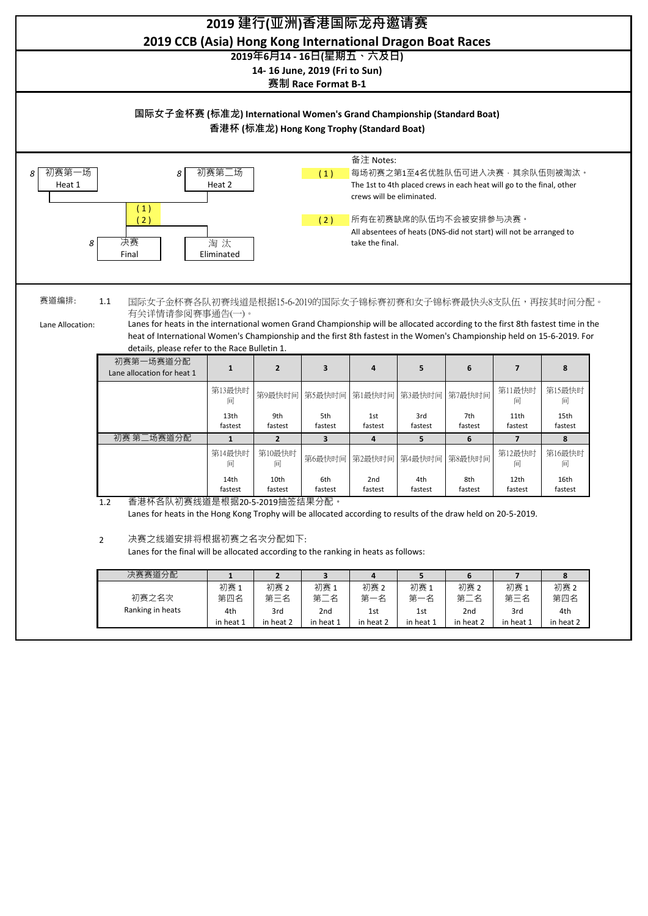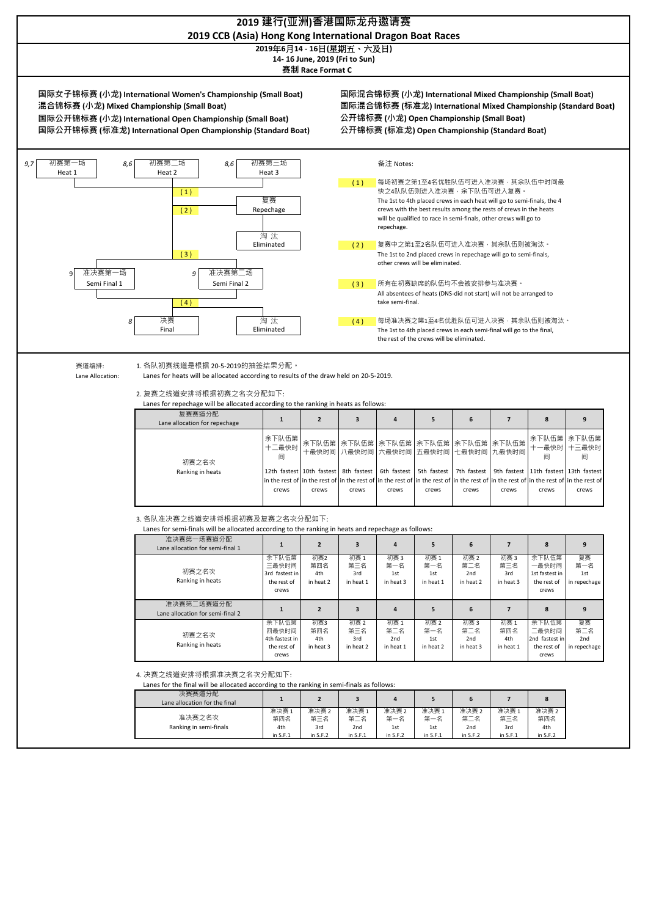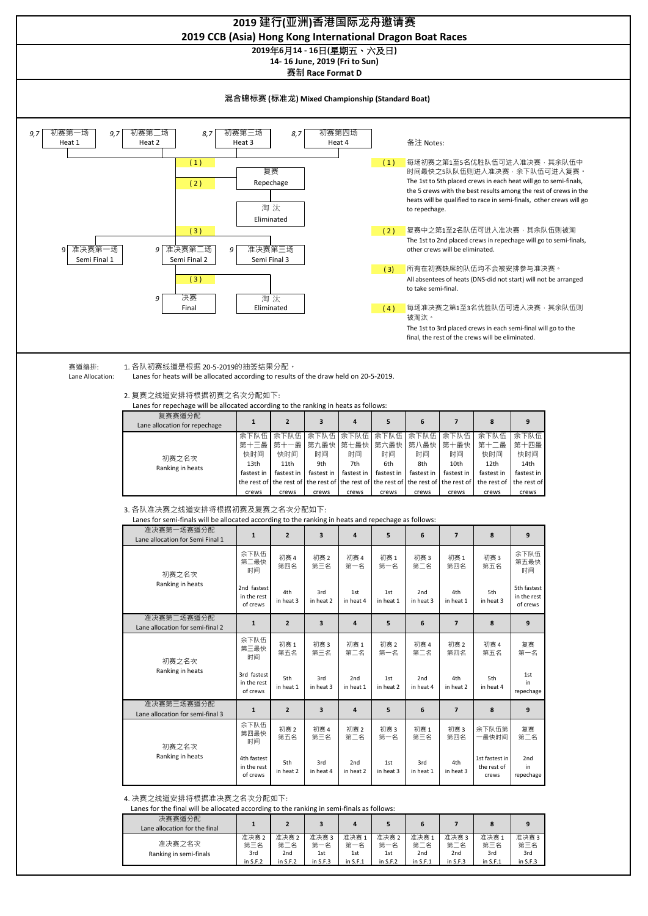

| 决赛赛道分配<br>Lane allocation for the final |                    |                                      |                    | 4                  |                    |                                   |                                     |                    | 9                  |
|-----------------------------------------|--------------------|--------------------------------------|--------------------|--------------------|--------------------|-----------------------------------|-------------------------------------|--------------------|--------------------|
| 准决赛之名次<br>Ranking in semi-finals        | 准决赛2<br>第三名<br>3rd | 准决赛 2<br>第二<br>:名<br>2 <sub>nd</sub> | 准决赛3<br>第一名<br>1st | 准决赛1<br>第一名<br>1st | 准决赛2<br>第一名<br>1st | 准决赛:<br>第<br>ε<br>2 <sub>nd</sub> | 准决赛3<br>第.<br>:名<br>2 <sub>nd</sub> | 准决赛1<br>第三名<br>3rd | 准决赛3<br>第三名<br>3rd |
|                                         | in $S.F.2$         | in $S.F.2$                           | in $S.F.3$         | in $S.F.1$         | in $S.F.2$         | in $S.F.1$                        | in $S.F.3$                          | in $S.F.1$         | in $S.F.3$         |